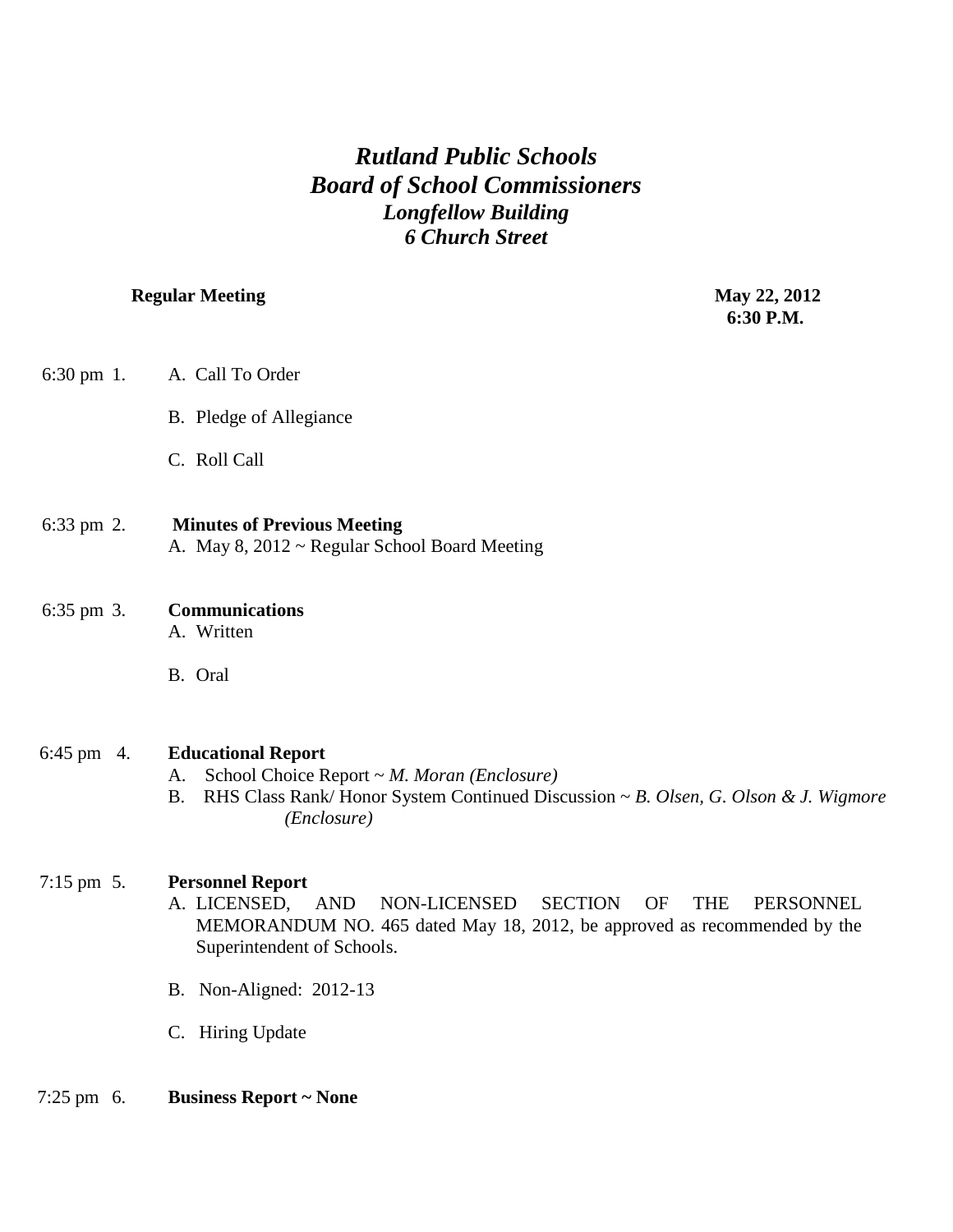# *Rutland Public Schools Board of School Commissioners Longfellow Building 6 Church Street*

# **Regular Meeting May 22, 2012**

 **6:30 P.M.**

| $6:30 \text{ pm } 1$ . | A. Call To Order                                                                                                                                                                                                                   |
|------------------------|------------------------------------------------------------------------------------------------------------------------------------------------------------------------------------------------------------------------------------|
|                        | B. Pledge of Allegiance                                                                                                                                                                                                            |
|                        | C. Roll Call                                                                                                                                                                                                                       |
| 6:33 pm 2.             | <b>Minutes of Previous Meeting</b><br>A. May 8, 2012 ~ Regular School Board Meeting                                                                                                                                                |
| 6:35 pm 3.             | <b>Communications</b><br>A. Written                                                                                                                                                                                                |
|                        | B. Oral                                                                                                                                                                                                                            |
| $6:45 \text{ pm}$ 4.   | <b>Educational Report</b><br>School Choice Report $\sim M$ . Moran (Enclosure)<br>A.<br><b>B.</b><br>RHS Class Rank/Honor System Continued Discussion ~ B. Olsen, G. Olson & J. Wigmore<br>(Enclosure)                             |
| $7:15$ pm $5.$         | <b>Personnel Report</b><br>A. LICENSED,<br><b>AND</b><br>NON-LICENSED<br><b>SECTION</b><br>OF<br><b>THE</b><br>PERSONNEL<br>MEMORANDUM NO. 465 dated May 18, 2012, be approved as recommended by the<br>Superintendent of Schools. |
|                        | B. Non-Aligned: 2012-13                                                                                                                                                                                                            |
|                        | C. Hiring Update                                                                                                                                                                                                                   |
| $7:25 \text{ pm } 6.$  | <b>Business Report ~ None</b>                                                                                                                                                                                                      |